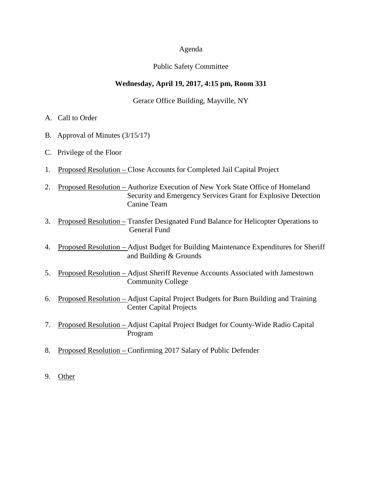#### Agenda

#### Public Safety Committee

### **Wednesday, April 19, 2017, 4:15 pm, Room 331**

Gerace Office Building, Mayville, NY

- A. Call to Order
- B. Approval of Minutes (3/15/17)
- C. Privilege of the Floor
- 1. Proposed Resolution Close Accounts for Completed Jail Capital Project
- 2. Proposed Resolution Authorize Execution of New York State Office of Homeland Security and Emergency Services Grant for Explosive Detection Canine Team
- 3. Proposed Resolution Transfer Designated Fund Balance for Helicopter Operations to General Fund
- 4. Proposed Resolution Adjust Budget for Building Maintenance Expenditures for Sheriff and Building & Grounds
- 5. Proposed Resolution Adjust Sheriff Revenue Accounts Associated with Jamestown Community College
- 6. Proposed Resolution Adjust Capital Project Budgets for Burn Building and Training Center Capital Projects
- 7. Proposed Resolution Adjust Capital Project Budget for County-Wide Radio Capital Program
- 8. Proposed Resolution Confirming 2017 Salary of Public Defender
- 9. Other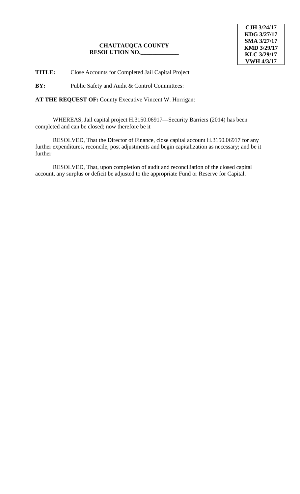**TITLE:** Close Accounts for Completed Jail Capital Project

**BY:** Public Safety and Audit & Control Committees:

**AT THE REQUEST OF:** County Executive Vincent W. Horrigan:

WHEREAS, Jail capital project H.3150.06917—Security Barriers (2014) has been completed and can be closed; now therefore be it

RESOLVED, That the Director of Finance, close capital account H.3150.06917 for any further expenditures, reconcile, post adjustments and begin capitalization as necessary; and be it further

RESOLVED, That, upon completion of audit and reconciliation of the closed capital account, any surplus or deficit be adjusted to the appropriate Fund or Reserve for Capital.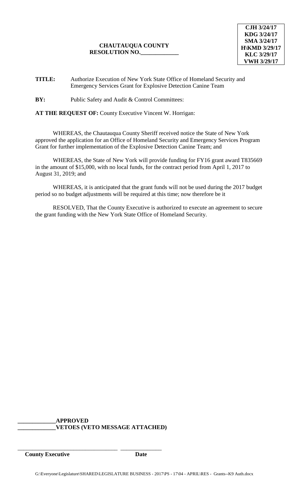**TITLE:** Authorize Execution of New York State Office of Homeland Security and Emergency Services Grant for Explosive Detection Canine Team

**BY:** Public Safety and Audit & Control Committees:

**AT THE REQUEST OF:** County Executive Vincent W. Horrigan:

WHEREAS, the Chautauqua County Sheriff received notice the State of New York approved the application for an Office of Homeland Security and Emergency Services Program Grant for further implementation of the Explosive Detection Canine Team; and

WHEREAS, the State of New York will provide funding for FY16 grant award T835669 in the amount of \$15,000, with no local funds, for the contract period from April 1, 2017 to August 31, 2019; and

WHEREAS, it is anticipated that the grant funds will not be used during the 2017 budget period so no budget adjustments will be required at this time; now therefore be it

RESOLVED, That the County Executive is authorized to execute an agreement to secure the grant funding with the New York State Office of Homeland Security.

#### **\_\_\_\_\_\_\_\_\_\_\_\_\_APPROVED \_\_\_\_\_\_\_\_\_\_\_\_\_VETOES (VETO MESSAGE ATTACHED)**

**County Executive Date**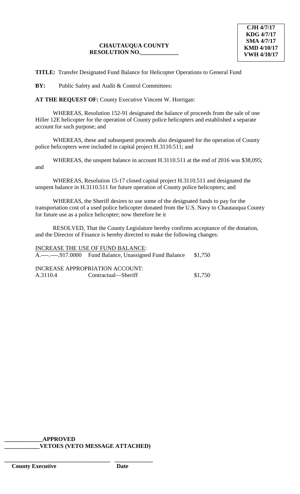**TITLE:** Transfer Designated Fund Balance for Helicopter Operations to General Fund

**BY:** Public Safety and Audit & Control Committees:

**AT THE REQUEST OF:** County Executive Vincent W. Horrigan:

WHEREAS, Resolution 152-91 designated the balance of proceeds from the sale of one Hiller 12E helicopter for the operation of County police helicopters and established a separate account for such purpose; and

WHEREAS, these and subsequent proceeds also designated for the operation of County police helicopters were included in capital project H.3110.511; and

WHEREAS, the unspent balance in account H.3110.511 at the end of 2016 was \$38,095; and

WHEREAS, Resolution 15-17 closed capital project H.3110.511 and designated the unspent balance in H.3110.511 for future operation of County police helicopters; and

WHEREAS, the Sheriff desires to use some of the designated funds to pay for the transportation cost of a used police helicopter donated from the U.S. Navy to Chautauqua County for future use as a police helicopter; now therefore be it

RESOLVED, That the County Legislature hereby confirms acceptance of the donation, and the Director of Finance is hereby directed to make the following changes:

INCREASE THE USE OF FUND BALANCE: A.----.----.917.0000 Fund Balance, Unassigned Fund Balance \$1,750

INCREASE APPROPRIATION ACCOUNT: A.3110.4 Contractual—Sheriff \$1,750

 **\_\_\_\_\_\_\_\_\_\_\_\_\_APPROVED \_\_\_\_\_\_\_\_\_\_\_\_VETOES (VETO MESSAGE ATTACHED)**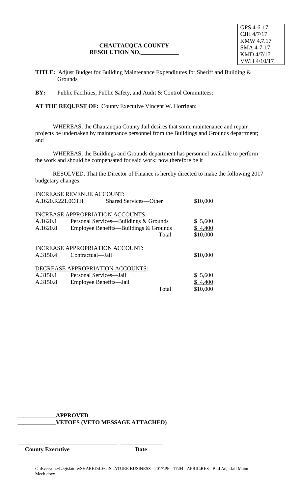GPS 4-6-17 CJH 4/7/17 KMW 4.7.17 SMA 4-7-17 KMD 4/7/17 VWH 4/10/17

**TITLE:** Adjust Budget for Building Maintenance Expenditures for Sheriff and Building & **Grounds** 

**BY:** Public Facilities, Public Safety, and Audit & Control Committees:

**AT THE REQUEST OF:** County Executive Vincent W. Horrigan:

WHEREAS, the Chautauqua County Jail desires that some maintenance and repair projects be undertaken by maintenance personnel from the Buildings and Grounds department; and

WHEREAS, the Buildings and Grounds department has personnel available to perform the work and should be compensated for said work; now therefore be it

RESOLVED, That the Director of Finance is hereby directed to make the following 2017 budgetary changes:

|                  | <b>INCREASE REVENUE ACCOUNT:</b> |                                         |       |          |
|------------------|----------------------------------|-----------------------------------------|-------|----------|
| A.1620.R221.0OTH |                                  | <b>Shared Services-Other</b>            |       | \$10,000 |
|                  |                                  |                                         |       |          |
|                  |                                  | <b>INCREASE APPROPRIATION ACCOUNTS:</b> |       |          |
| A.1620.1         |                                  | Personal Services—Buildings & Grounds   |       | \$5,600  |
| A.1620.8         |                                  | Employee Benefits—Buildings & Grounds   |       | \$4,400  |
|                  |                                  |                                         |       |          |
|                  |                                  |                                         | Total | \$10,000 |
|                  |                                  |                                         |       |          |
|                  |                                  | <b>INCREASE APPROPRIATION ACCOUNT:</b>  |       |          |
| A.3150.4         | Contractual—Jail                 |                                         |       | \$10,000 |
|                  |                                  |                                         |       |          |
|                  |                                  | DECREASE APPROPRIATION ACCOUNTS:        |       |          |
| A.3150.1         | Personal Services—Jail           |                                         |       | \$5,600  |
|                  |                                  |                                         |       |          |
| A.3150.8         | Employee Benefits—Jail           |                                         |       | \$4,400  |
|                  |                                  |                                         | Total | \$10,000 |

**\_\_\_\_\_\_\_\_\_\_\_\_\_APPROVED \_\_\_\_\_\_\_\_\_\_\_\_\_VETOES (VETO MESSAGE ATTACHED)**

\_\_\_\_\_\_\_\_\_\_\_\_\_\_\_\_\_\_\_\_\_\_\_\_\_\_\_\_\_\_\_\_\_\_ \_\_\_\_\_\_\_\_\_\_\_\_\_\_

**County Executive Date**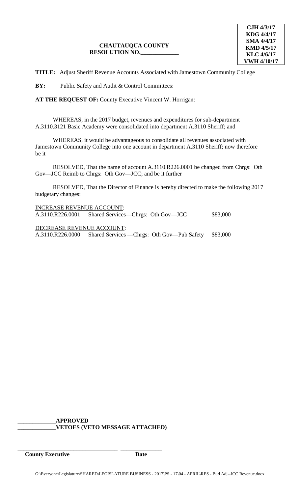**TITLE:** Adjust Sheriff Revenue Accounts Associated with Jamestown Community College

**BY:** Public Safety and Audit & Control Committees:

**AT THE REQUEST OF:** County Executive Vincent W. Horrigan:

WHEREAS, in the 2017 budget, revenues and expenditures for sub-department A.3110.3121 Basic Academy were consolidated into department A.3110 Sheriff; and

WHEREAS, it would be advantageous to consolidate all revenues associated with Jamestown Community College into one account in department A.3110 Sheriff; now therefore be it

RESOLVED, That the name of account A.3110.R226.0001 be changed from Chrgs: Oth Gov—JCC Reimb to Chrgs: Oth Gov—JCC; and be it further

RESOLVED, That the Director of Finance is hereby directed to make the following 2017 budgetary changes:

| <b>INCREASE REVENUE ACCOUNT:</b> |                                                              |          |  |  |  |
|----------------------------------|--------------------------------------------------------------|----------|--|--|--|
|                                  | A.3110.R226.0001 Shared Services—Chrgs: Oth Gov—JCC          | \$83,000 |  |  |  |
| DECREASE REVENUE ACCOUNT:        |                                                              |          |  |  |  |
|                                  | A.3110.R226.0000 Shared Services — Chrgs: Oth Gov—Pub Safety | \$83,000 |  |  |  |

**\_\_\_\_\_\_\_\_\_\_\_\_\_APPROVED \_\_\_\_\_\_\_\_\_\_\_\_\_VETOES (VETO MESSAGE ATTACHED)**

**County Executive Date**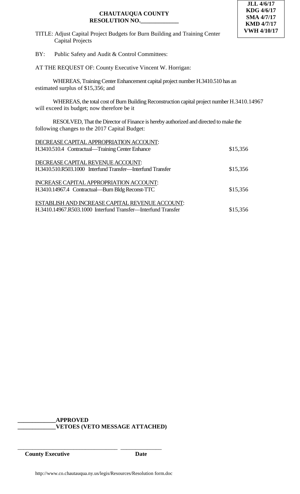

- TITLE: Adjust Capital Project Budgets for Burn Building and Training Center Capital Projects
- BY: Public Safety and Audit & Control Committees:

AT THE REQUEST OF: County Executive Vincent W. Horrigan:

WHEREAS, Training Center Enhancement capital project number H.3410.510 has an estimated surplus of \$15,356; and

WHEREAS, the total cost of Burn Building Reconstruction capital project number H.3410.14967 will exceed its budget; now therefore be it

RESOLVED, That the Director of Finance is hereby authorized and directed to make the following changes to the 2017 Capital Budget:

| DECREASE CAPITAL APPROPRIATION ACCOUNT:                      |          |
|--------------------------------------------------------------|----------|
| H.3410.510.4 Contractual—Training Center Enhance             | \$15,356 |
|                                                              |          |
| DECREASE CAPITAL REVENUE ACCOUNT:                            |          |
| H.3410.510.R503.1000 Interfund Transfer-Interfund Transfer   | \$15,356 |
|                                                              |          |
| INCREASE CAPITAL APPROPRIATION ACCOUNT:                      |          |
| H.3410.14967.4 Contractual—Burn Bldg Reconst-TTC             | \$15,356 |
|                                                              |          |
| ESTABLISH AND INCREASE CAPITAL REVENUE ACCOUNT:              |          |
| H.3410.14967.R503.1000 Interfund Transfer—Interfund Transfer | \$15,356 |

**\_\_\_\_\_\_\_\_\_\_\_\_\_APPROVED \_\_\_\_\_\_\_\_\_\_\_\_\_VETOES (VETO MESSAGE ATTACHED)**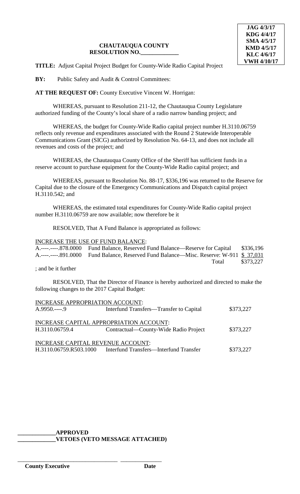**TITLE:** Adjust Capital Project Budget for County-Wide Radio Capital Project

**BY:** Public Safety and Audit & Control Committees:

**AT THE REQUEST OF:** County Executive Vincent W. Horrigan:

WHEREAS, pursuant to Resolution 211-12, the Chautauqua County Legislature authorized funding of the County's local share of a radio narrow banding project; and

WHEREAS, the budget for County-Wide Radio capital project number H.3110.06759 reflects only revenue and expenditures associated with the Round 2 Statewide Interoperable Communications Grant (SICG) authorized by Resolution No. 64-13, and does not include all revenues and costs of the project; and

WHEREAS, the Chautauqua County Office of the Sheriff has sufficient funds in a reserve account to purchase equipment for the County-Wide Radio capital project; and

WHEREAS, pursuant to Resolution No. 88-17, \$336,196 was returned to the Reserve for Capital due to the closure of the Emergency Communications and Dispatch capital project H.3110.542; and

WHEREAS, the estimated total expenditures for County-Wide Radio capital project number H.3110.06759 are now available; now therefore be it

RESOLVED, That A Fund Balance is appropriated as follows:

#### INCREASE THE USE OF FUND BALANCE:

| A.----,----878.0000 Fund Balance, Reserved Fund Balance—Reserve for Capital \$336,196  |           |
|----------------------------------------------------------------------------------------|-----------|
| A.----,----891.0000 Fund Balance, Reserved Fund Balance—Misc. Reserve: W-911 \$ 37,031 |           |
| Total                                                                                  | \$373,227 |

; and be it further

RESOLVED, That the Director of Finance is hereby authorized and directed to make the following changes to the 2017 Capital Budget:

| INCREASE APPROPRIATION ACCOUNT:         |                                         |           |  |  |  |
|-----------------------------------------|-----------------------------------------|-----------|--|--|--|
| $A.9950---9$                            | Interfund Transfers—Transfer to Capital | \$373,227 |  |  |  |
|                                         |                                         |           |  |  |  |
| INCREASE CAPITAL APPROPRIATION ACCOUNT: |                                         |           |  |  |  |
| H.3110.06759.4                          | Contractual—County-Wide Radio Project   | \$373,227 |  |  |  |
|                                         |                                         |           |  |  |  |
| INCREASE CAPITAL REVENUE ACCOUNT:       |                                         |           |  |  |  |
| H.3110.06759.R503.1000                  | Interfund Transfers—Interfund Transfer  | \$373,227 |  |  |  |
|                                         |                                         |           |  |  |  |

# **\_\_\_\_\_\_\_\_\_\_\_\_\_APPROVED**

\_\_\_\_\_\_\_\_\_\_\_\_\_\_\_\_\_\_\_\_\_\_\_\_\_\_\_\_\_\_\_\_\_\_ \_\_\_\_\_\_\_\_\_\_\_\_\_\_

**\_\_\_\_\_\_\_\_\_\_\_\_\_VETOES (VETO MESSAGE ATTACHED)**